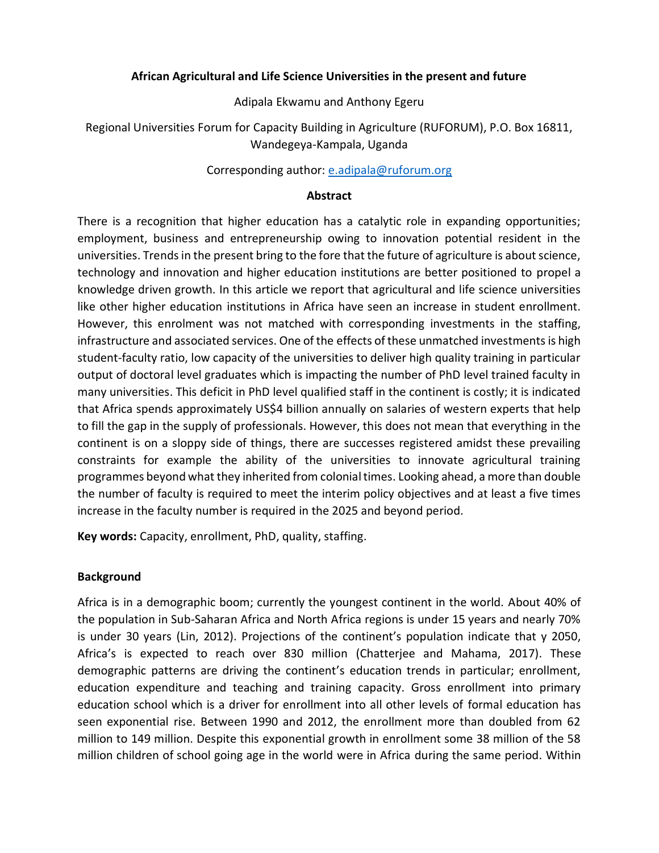### **African Agricultural and Life Science Universities in the present and future**

Adipala Ekwamu and Anthony Egeru

Regional Universities Forum for Capacity Building in Agriculture (RUFORUM), P.O. Box 16811, Wandegeya-Kampala, Uganda

## Corresponding author: [e.adipala@ruforum.org](mailto:e.adipala@ruforum.org)

### **Abstract**

There is a recognition that higher education has a catalytic role in expanding opportunities; employment, business and entrepreneurship owing to innovation potential resident in the universities. Trends in the present bring to the fore that the future of agriculture is about science, technology and innovation and higher education institutions are better positioned to propel a knowledge driven growth. In this article we report that agricultural and life science universities like other higher education institutions in Africa have seen an increase in student enrollment. However, this enrolment was not matched with corresponding investments in the staffing, infrastructure and associated services. One of the effects of these unmatched investments is high student-faculty ratio, low capacity of the universities to deliver high quality training in particular output of doctoral level graduates which is impacting the number of PhD level trained faculty in many universities. This deficit in PhD level qualified staff in the continent is costly; it is indicated that Africa spends approximately US\$4 billion annually on salaries of western experts that help to fill the gap in the supply of professionals. However, this does not mean that everything in the continent is on a sloppy side of things, there are successes registered amidst these prevailing constraints for example the ability of the universities to innovate agricultural training programmes beyond what they inherited from colonial times. Looking ahead, a more than double the number of faculty is required to meet the interim policy objectives and at least a five times increase in the faculty number is required in the 2025 and beyond period.

**Key words:** Capacity, enrollment, PhD, quality, staffing.

### **Background**

Africa is in a demographic boom; currently the youngest continent in the world. About 40% of the population in Sub-Saharan Africa and North Africa regions is under 15 years and nearly 70% is under 30 years (Lin, 2012). Projections of the continent's population indicate that y 2050, Africa's is expected to reach over 830 million (Chatterjee and Mahama, 2017). These demographic patterns are driving the continent's education trends in particular; enrollment, education expenditure and teaching and training capacity. Gross enrollment into primary education school which is a driver for enrollment into all other levels of formal education has seen exponential rise. Between 1990 and 2012, the enrollment more than doubled from 62 million to 149 million. Despite this exponential growth in enrollment some 38 million of the 58 million children of school going age in the world were in Africa during the same period. Within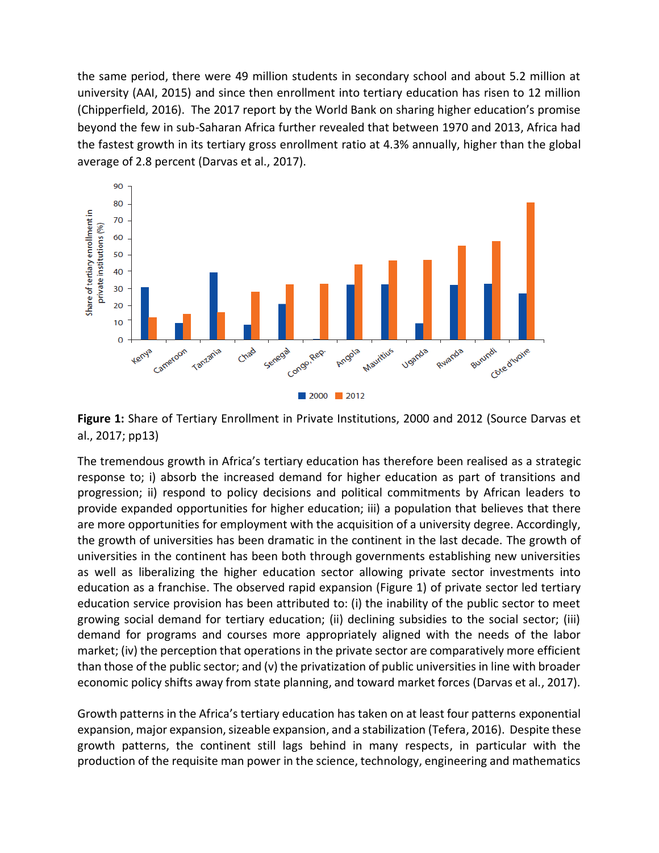the same period, there were 49 million students in secondary school and about 5.2 million at university (AAI, 2015) and since then enrollment into tertiary education has risen to 12 million (Chipperfield, 2016). The 2017 report by the World Bank on sharing higher education's promise beyond the few in sub-Saharan Africa further revealed that between 1970 and 2013, Africa had the fastest growth in its tertiary gross enrollment ratio at 4.3% annually, higher than the global average of 2.8 percent (Darvas et al., 2017).



**Figure 1:** Share of Tertiary Enrollment in Private Institutions, 2000 and 2012 (Source Darvas et al., 2017; pp13)

The tremendous growth in Africa's tertiary education has therefore been realised as a strategic response to; i) absorb the increased demand for higher education as part of transitions and progression; ii) respond to policy decisions and political commitments by African leaders to provide expanded opportunities for higher education; iii) a population that believes that there are more opportunities for employment with the acquisition of a university degree. Accordingly, the growth of universities has been dramatic in the continent in the last decade. The growth of universities in the continent has been both through governments establishing new universities as well as liberalizing the higher education sector allowing private sector investments into education as a franchise. The observed rapid expansion (Figure 1) of private sector led tertiary education service provision has been attributed to: (i) the inability of the public sector to meet growing social demand for tertiary education; (ii) declining subsidies to the social sector; (iii) demand for programs and courses more appropriately aligned with the needs of the labor market; (iv) the perception that operations in the private sector are comparatively more efficient than those of the public sector; and (v) the privatization of public universities in line with broader economic policy shifts away from state planning, and toward market forces (Darvas et al., 2017).

Growth patterns in the Africa's tertiary education has taken on at least four patterns exponential expansion, major expansion, sizeable expansion, and a stabilization (Tefera, 2016). Despite these growth patterns, the continent still lags behind in many respects, in particular with the production of the requisite man power in the science, technology, engineering and mathematics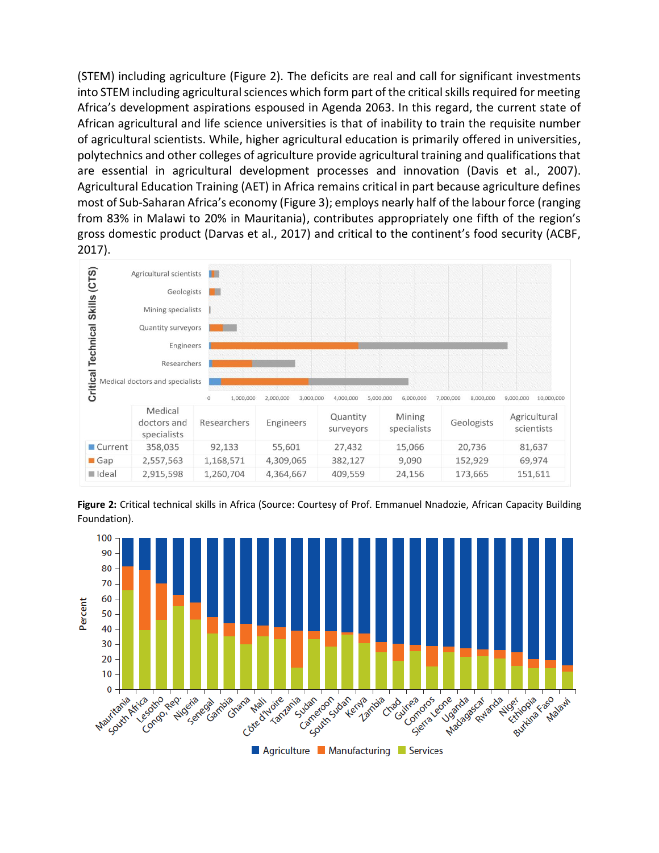(STEM) including agriculture (Figure 2). The deficits are real and call for significant investments into STEM including agricultural sciences which form part of the critical skills required for meeting Africa's development aspirations espoused in Agenda 2063. In this regard, the current state of African agricultural and life science universities is that of inability to train the requisite number of agricultural scientists. While, higher agricultural education is primarily offered in universities, polytechnics and other colleges of agriculture provide agricultural training and qualifications that are essential in agricultural development processes and innovation (Davis et al., 2007). Agricultural Education Training (AET) in Africa remains critical in part because agriculture defines most of Sub-Saharan Africa's economy (Figure 3); employs nearly half of the labour force (ranging from 83% in Malawi to 20% in Mauritania), contributes appropriately one fifth of the region's gross domestic product (Darvas et al., 2017) and critical to the continent's food security (ACBF, 2017).





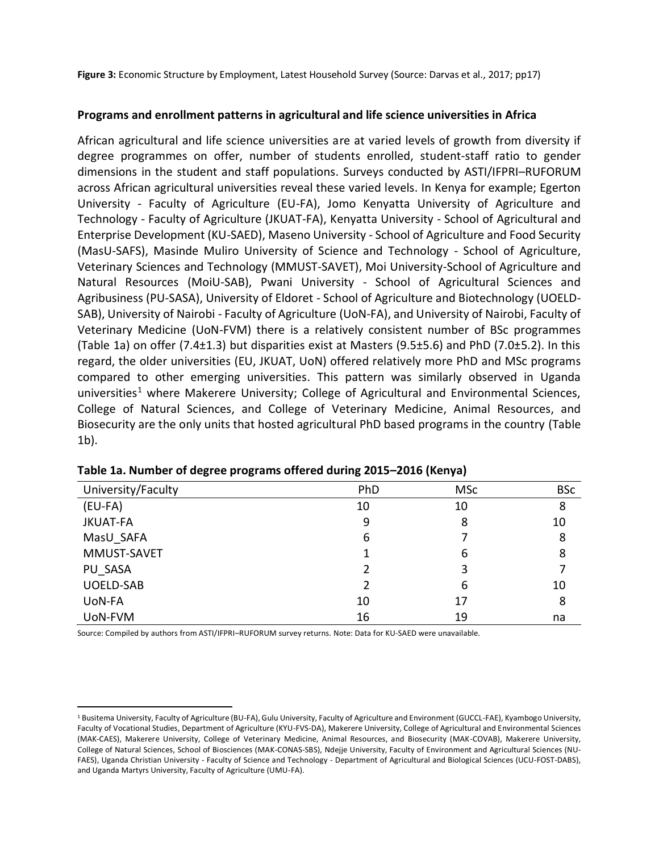**Figure 3:** Economic Structure by Employment, Latest Household Survey (Source: Darvas et al., 2017; pp17)

### **Programs and enrollment patterns in agricultural and life science universities in Africa**

African agricultural and life science universities are at varied levels of growth from diversity if degree programmes on offer, number of students enrolled, student-staff ratio to gender dimensions in the student and staff populations. Surveys conducted by ASTI/IFPRI–RUFORUM across African agricultural universities reveal these varied levels. In Kenya for example; Egerton University - Faculty of Agriculture (EU-FA), Jomo Kenyatta University of Agriculture and Technology - Faculty of Agriculture (JKUAT-FA), Kenyatta University - School of Agricultural and Enterprise Development (KU-SAED), Maseno University - School of Agriculture and Food Security (MasU-SAFS), Masinde Muliro University of Science and Technology - School of Agriculture, Veterinary Sciences and Technology (MMUST-SAVET), Moi University-School of Agriculture and Natural Resources (MoiU-SAB), Pwani University - School of Agricultural Sciences and Agribusiness (PU-SASA), University of Eldoret - School of Agriculture and Biotechnology (UOELD-SAB), University of Nairobi - Faculty of Agriculture (UoN-FA), and University of Nairobi, Faculty of Veterinary Medicine (UoN-FVM) there is a relatively consistent number of BSc programmes (Table 1a) on offer (7.4±1.3) but disparities exist at Masters (9.5±5.6) and PhD (7.0±5.2). In this regard, the older universities (EU, JKUAT, UoN) offered relatively more PhD and MSc programs compared to other emerging universities. This pattern was similarly observed in Uganda universities<sup>1</sup> where Makerere University; College of Agricultural and Environmental Sciences, College of Natural Sciences, and College of Veterinary Medicine, Animal Resources, and Biosecurity are the only units that hosted agricultural PhD based programs in the country (Table 1b).

| University/Faculty | PhD | <b>MSc</b> | <b>BSc</b> |
|--------------------|-----|------------|------------|
| $(EU-FA)$          | 10  | 10         | 8          |
| <b>JKUAT-FA</b>    | 9   | 8          | 10         |
| MasU SAFA          | 6   |            | 8          |
| MMUST-SAVET        |     | 6          | 8          |
| PU SASA            | 2   | 3          |            |
| <b>UOELD-SAB</b>   | 2   | 6          | 10         |
| UoN-FA             | 10  | 17         | 8          |
| UoN-FVM            | 16  | 19         | na         |

|  |  | Table 1a. Number of degree programs offered during 2015-2016 (Kenya) |  |
|--|--|----------------------------------------------------------------------|--|
|--|--|----------------------------------------------------------------------|--|

Source: Compiled by authors from ASTI/IFPRI–RUFORUM survey returns. Note: Data for KU-SAED were unavailable.

 $\overline{a}$ 

<sup>&</sup>lt;sup>1</sup> Busitema University, Faculty of Agriculture (BU-FA), Gulu University, Faculty of Agriculture and Environment (GUCCL-FAE), Kyambogo University, Faculty of Vocational Studies, Department of Agriculture (KYU-FVS-DA), Makerere University, College of Agricultural and Environmental Sciences (MAK-CAES), Makerere University, College of Veterinary Medicine, Animal Resources, and Biosecurity (MAK-COVAB), Makerere University, College of Natural Sciences, School of Biosciences (MAK-CONAS-SBS), Ndejje University, Faculty of Environment and Agricultural Sciences (NU-FAES), Uganda Christian University - Faculty of Science and Technology - Department of Agricultural and Biological Sciences (UCU-FOST-DABS), and Uganda Martyrs University, Faculty of Agriculture (UMU-FA).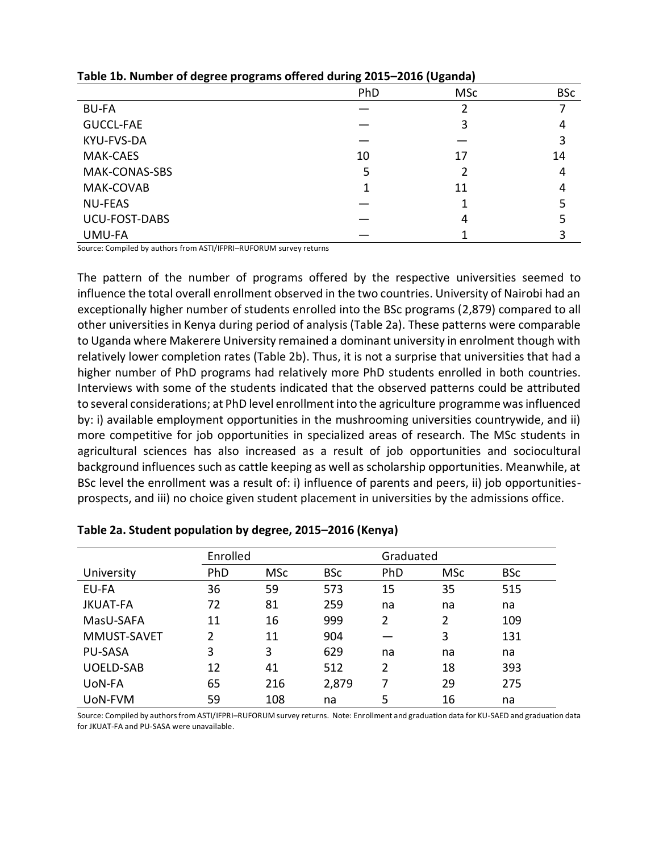|                      | PhD | <b>MSc</b> | <b>BSc</b> |
|----------------------|-----|------------|------------|
| <b>BU-FA</b>         |     |            |            |
| <b>GUCCL-FAE</b>     |     | 3          | 4          |
| KYU-FVS-DA           |     |            | 3          |
| MAK-CAES             | 10  | 17         | 14         |
| MAK-CONAS-SBS        | 5   |            | 4          |
| MAK-COVAB            |     | 11         | 4          |
| <b>NU-FEAS</b>       |     |            |            |
| <b>UCU-FOST-DABS</b> |     | 4          |            |
| UMU-FA               |     |            |            |

#### **Table 1b. Number of degree programs offered during 2015–2016 (Uganda)**

Source: Compiled by authors from ASTI/IFPRI–RUFORUM survey returns

The pattern of the number of programs offered by the respective universities seemed to influence the total overall enrollment observed in the two countries. University of Nairobi had an exceptionally higher number of students enrolled into the BSc programs (2,879) compared to all other universities in Kenya during period of analysis (Table 2a). These patterns were comparable to Uganda where Makerere University remained a dominant university in enrolment though with relatively lower completion rates (Table 2b). Thus, it is not a surprise that universities that had a higher number of PhD programs had relatively more PhD students enrolled in both countries. Interviews with some of the students indicated that the observed patterns could be attributed to several considerations; at PhD level enrollment into the agriculture programme was influenced by: i) available employment opportunities in the mushrooming universities countrywide, and ii) more competitive for job opportunities in specialized areas of research. The MSc students in agricultural sciences has also increased as a result of job opportunities and sociocultural background influences such as cattle keeping as well as scholarship opportunities. Meanwhile, at BSc level the enrollment was a result of: i) influence of parents and peers, ii) job opportunitiesprospects, and iii) no choice given student placement in universities by the admissions office.

|                  | Enrolled      |            |            |     | Graduated      |            |  |
|------------------|---------------|------------|------------|-----|----------------|------------|--|
| University       | PhD           | <b>MSc</b> | <b>BSc</b> | PhD | <b>MSc</b>     | <b>BSc</b> |  |
| EU-FA            | 36            | 59         | 573        | 15  | 35             | 515        |  |
| <b>JKUAT-FA</b>  | 72            | 81         | 259        | na  | na             | na         |  |
| MasU-SAFA        | 11            | 16         | 999        | 2   | $\overline{2}$ | 109        |  |
| MMUST-SAVET      | $\mathcal{P}$ | 11         | 904        |     | 3              | 131        |  |
| <b>PU-SASA</b>   | 3             | 3          | 629        | na  | na             | na         |  |
| <b>UOELD-SAB</b> | 12            | 41         | 512        | 2   | 18             | 393        |  |
| UoN-FA           | 65            | 216        | 2,879      | 7   | 29             | 275        |  |
| UoN-FVM          | 59            | 108        | na         | 5   | 16             | na         |  |

Source: Compiled by authors from ASTI/IFPRI–RUFORUM survey returns. Note: Enrollment and graduation data for KU-SAED and graduation data for JKUAT-FA and PU-SASA were unavailable.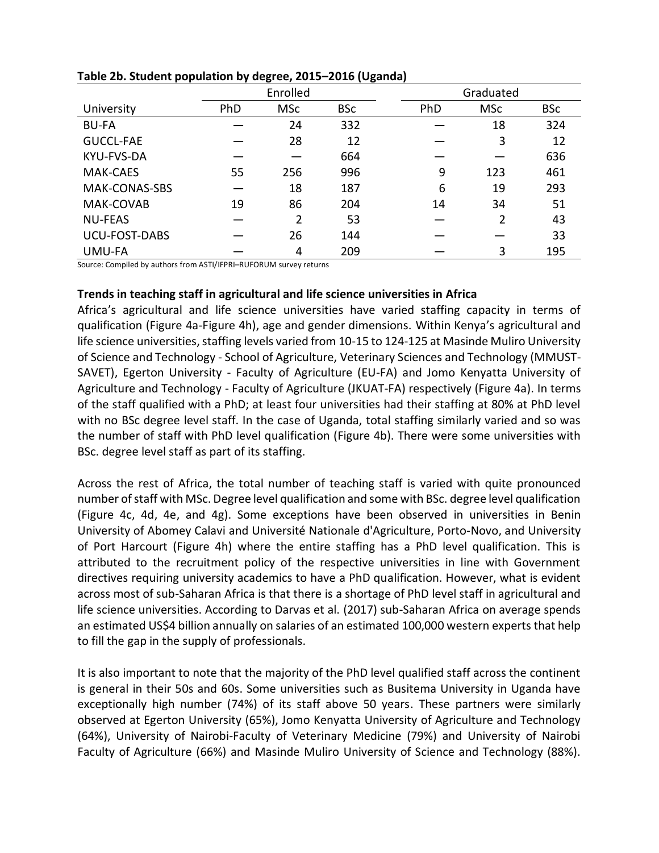|                      | Enrolled |                |            |  | Graduated |            |            |
|----------------------|----------|----------------|------------|--|-----------|------------|------------|
| University           | PhD      | <b>MSc</b>     | <b>BSc</b> |  | PhD       | <b>MSc</b> | <b>BSc</b> |
| <b>BU-FA</b>         |          | 24             | 332        |  |           | 18         | 324        |
| <b>GUCCL-FAE</b>     |          | 28             | 12         |  |           | 3          | 12         |
| <b>KYU-FVS-DA</b>    |          |                | 664        |  |           |            | 636        |
| <b>MAK-CAES</b>      | 55       | 256            | 996        |  | 9         | 123        | 461        |
| MAK-CONAS-SBS        |          | 18             | 187        |  | 6         | 19         | 293        |
| MAK-COVAB            | 19       | 86             | 204        |  | 14        | 34         | 51         |
| <b>NU-FEAS</b>       |          | $\overline{2}$ | 53         |  |           | 2          | 43         |
| <b>UCU-FOST-DABS</b> |          | 26             | 144        |  |           |            | 33         |
| UMU-FA               |          | 4              | 209        |  |           | 3          | 195        |

### **Table 2b. Student population by degree, 2015–2016 (Uganda)**

Source: Compiled by authors from ASTI/IFPRI–RUFORUM survey returns

### **Trends in teaching staff in agricultural and life science universities in Africa**

Africa's agricultural and life science universities have varied staffing capacity in terms of qualification (Figure 4a-Figure 4h), age and gender dimensions. Within Kenya's agricultural and life science universities, staffing levels varied from 10-15 to 124-125 at Masinde Muliro University of Science and Technology - School of Agriculture, Veterinary Sciences and Technology (MMUST-SAVET), Egerton University - Faculty of Agriculture (EU-FA) and Jomo Kenyatta University of Agriculture and Technology - Faculty of Agriculture (JKUAT-FA) respectively (Figure 4a). In terms of the staff qualified with a PhD; at least four universities had their staffing at 80% at PhD level with no BSc degree level staff. In the case of Uganda, total staffing similarly varied and so was the number of staff with PhD level qualification (Figure 4b). There were some universities with BSc. degree level staff as part of its staffing.

Across the rest of Africa, the total number of teaching staff is varied with quite pronounced number of staff with MSc. Degree level qualification and some with BSc. degree level qualification (Figure 4c, 4d, 4e, and 4g). Some exceptions have been observed in universities in Benin University of Abomey Calavi and Université Nationale d'Agriculture, Porto-Novo, and University of Port Harcourt (Figure 4h) where the entire staffing has a PhD level qualification. This is attributed to the recruitment policy of the respective universities in line with Government directives requiring university academics to have a PhD qualification. However, what is evident across most of sub-Saharan Africa is that there is a shortage of PhD level staff in agricultural and life science universities. According to Darvas et al. (2017) sub-Saharan Africa on average spends an estimated US\$4 billion annually on salaries of an estimated 100,000 western experts that help to fill the gap in the supply of professionals.

It is also important to note that the majority of the PhD level qualified staff across the continent is general in their 50s and 60s. Some universities such as Busitema University in Uganda have exceptionally high number (74%) of its staff above 50 years. These partners were similarly observed at Egerton University (65%), Jomo Kenyatta University of Agriculture and Technology (64%), University of Nairobi-Faculty of Veterinary Medicine (79%) and University of Nairobi Faculty of Agriculture (66%) and Masinde Muliro University of Science and Technology (88%).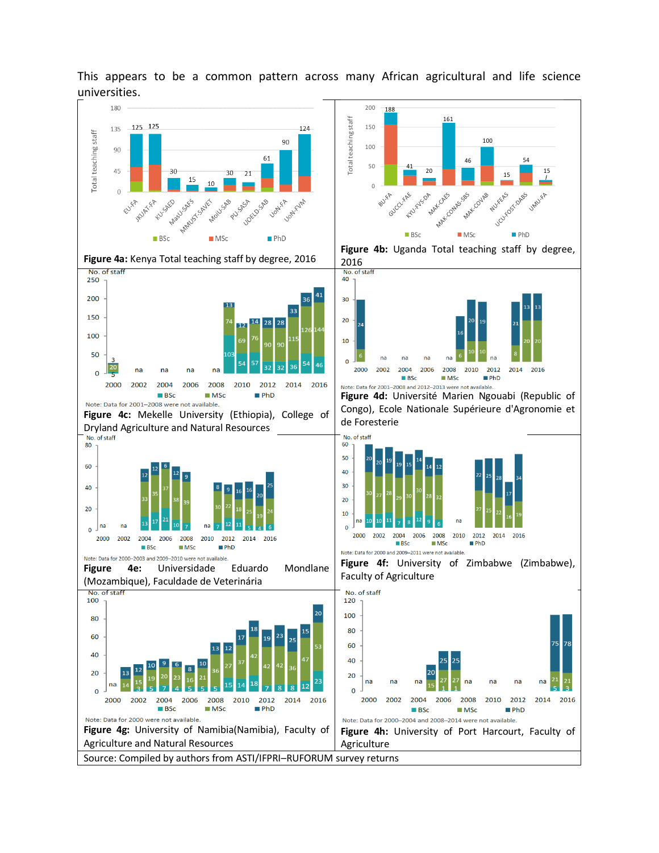

This appears to be a common pattern across many African agricultural and life science universities.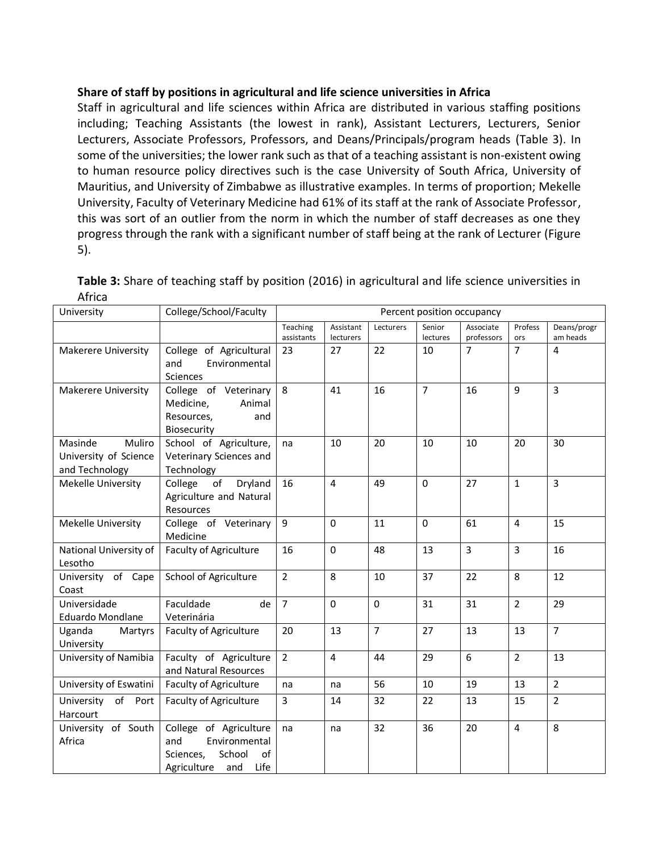## **Share of staff by positions in agricultural and life science universities in Africa**

Staff in agricultural and life sciences within Africa are distributed in various staffing positions including; Teaching Assistants (the lowest in rank), Assistant Lecturers, Lecturers, Senior Lecturers, Associate Professors, Professors, and Deans/Principals/program heads (Table 3). In some of the universities; the lower rank such as that of a teaching assistant is non-existent owing to human resource policy directives such is the case University of South Africa, University of Mauritius, and University of Zimbabwe as illustrative examples. In terms of proportion; Mekelle University, Faculty of Veterinary Medicine had 61% of its staff at the rank of Associate Professor, this was sort of an outlier from the norm in which the number of staff decreases as one they progress through the rank with a significant number of staff being at the rank of Lecturer (Figure 5).

| Table 3: Share of teaching staff by position (2016) in agricultural and life science universities in |  |
|------------------------------------------------------------------------------------------------------|--|
| Africa                                                                                               |  |

| University                                                   | College/School/Faculty                                                                                    | Percent position occupancy |                        |                |                    |                         |                |                         |
|--------------------------------------------------------------|-----------------------------------------------------------------------------------------------------------|----------------------------|------------------------|----------------|--------------------|-------------------------|----------------|-------------------------|
|                                                              |                                                                                                           | Teaching<br>assistants     | Assistant<br>lecturers | Lecturers      | Senior<br>lectures | Associate<br>professors | Profess<br>ors | Deans/progr<br>am heads |
| Makerere University                                          | College of Agricultural<br>and<br>Environmental<br><b>Sciences</b>                                        | 23                         | 27                     | 22             | 10                 | $\overline{7}$          | $\overline{7}$ | $\overline{4}$          |
| <b>Makerere University</b>                                   | College of Veterinary<br>Medicine,<br>Animal<br>Resources,<br>and<br>Biosecurity                          | 8                          | 41                     | 16             | $\overline{7}$     | 16                      | 9              | $\overline{3}$          |
| Masinde<br>Muliro<br>University of Science<br>and Technology | School of Agriculture,<br>Veterinary Sciences and<br>Technology                                           | na                         | 10                     | 20             | 10                 | 10                      | 20             | 30                      |
| Mekelle University                                           | College<br>Dryland<br>of<br>Agriculture and Natural<br>Resources                                          | 16                         | $\overline{4}$         | 49             | $\pmb{0}$          | 27                      | $\mathbf{1}$   | $\overline{3}$          |
| Mekelle University                                           | College of Veterinary<br>Medicine                                                                         | $\overline{9}$             | $\mathbf 0$            | 11             | $\mathbf 0$        | 61                      | $\overline{4}$ | 15                      |
| National University of<br>Lesotho                            | <b>Faculty of Agriculture</b>                                                                             | 16                         | $\Omega$               | 48             | 13                 | $\mathsf{3}$            | $\overline{3}$ | 16                      |
| University of Cape<br>Coast                                  | School of Agriculture                                                                                     | $\overline{2}$             | 8                      | 10             | 37                 | 22                      | 8              | 12                      |
| Universidade<br><b>Eduardo Mondlane</b>                      | Faculdade<br>de<br>Veterinária                                                                            | $\overline{7}$             | $\Omega$               | $\mathbf{0}$   | 31                 | 31                      | $\overline{2}$ | 29                      |
| Uganda<br>Martyrs<br>University                              | <b>Faculty of Agriculture</b>                                                                             | 20                         | 13                     | $\overline{7}$ | 27                 | 13                      | 13             | $\overline{7}$          |
| University of Namibia                                        | Faculty of Agriculture<br>and Natural Resources                                                           | $\overline{2}$             | 4                      | 44             | 29                 | 6                       | $\overline{2}$ | 13                      |
| University of Eswatini                                       | Faculty of Agriculture                                                                                    | na                         | na                     | 56             | 10                 | 19                      | 13             | $\overline{2}$          |
| University of Port<br>Harcourt                               | Faculty of Agriculture                                                                                    | 3                          | 14                     | 32             | 22                 | 13                      | 15             | $\overline{2}$          |
| University of South<br>Africa                                | College of Agriculture<br>Environmental<br>and<br>Sciences,<br>School<br>of<br>Life<br>Agriculture<br>and | na                         | na                     | 32             | 36                 | 20                      | $\overline{4}$ | 8                       |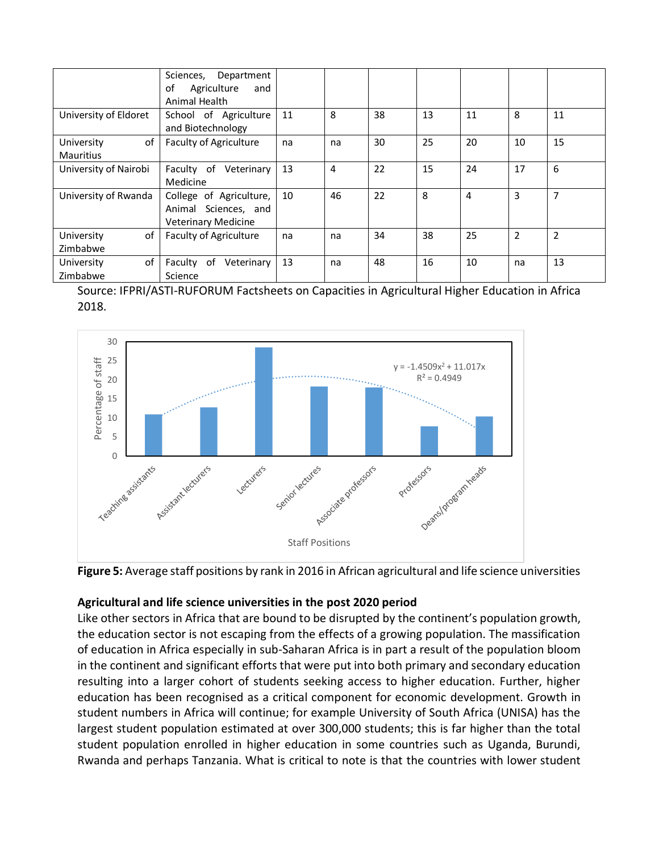|                                      | Department<br>Sciences,<br>Agriculture<br>of<br>and<br>Animal Health          |    |    |    |    |    |                |                |
|--------------------------------------|-------------------------------------------------------------------------------|----|----|----|----|----|----------------|----------------|
| University of Eldoret                | School of Agriculture<br>and Biotechnology                                    | 11 | 8  | 38 | 13 | 11 | 8              | 11             |
| of<br>University<br><b>Mauritius</b> | <b>Faculty of Agriculture</b>                                                 | na | na | 30 | 25 | 20 | 10             | 15             |
| University of Nairobi                | Faculty of Veterinary<br>Medicine                                             | 13 | 4  | 22 | 15 | 24 | 17             | 6              |
| University of Rwanda                 | College of Agriculture,<br>Animal Sciences, and<br><b>Veterinary Medicine</b> | 10 | 46 | 22 | 8  | 4  | 3              | 7              |
| of<br>University<br>Zimbabwe         | <b>Faculty of Agriculture</b>                                                 | na | na | 34 | 38 | 25 | $\overline{2}$ | $\overline{2}$ |
| of<br>University<br>Zimbabwe         | Faculty of<br>Veterinary<br>Science                                           | 13 | na | 48 | 16 | 10 | na             | 13             |

Source: IFPRI/ASTI-RUFORUM Factsheets on Capacities in Agricultural Higher Education in Africa 2018.



**Figure 5:** Average staff positions by rank in 2016 in African agricultural and life science universities

# **Agricultural and life science universities in the post 2020 period**

Like other sectors in Africa that are bound to be disrupted by the continent's population growth, the education sector is not escaping from the effects of a growing population. The massification of education in Africa especially in sub-Saharan Africa is in part a result of the population bloom in the continent and significant efforts that were put into both primary and secondary education resulting into a larger cohort of students seeking access to higher education. Further, higher education has been recognised as a critical component for economic development. Growth in student numbers in Africa will continue; for example University of South Africa (UNISA) has the largest student population estimated at over 300,000 students; this is far higher than the total student population enrolled in higher education in some countries such as Uganda, Burundi, Rwanda and perhaps Tanzania. What is critical to note is that the countries with lower student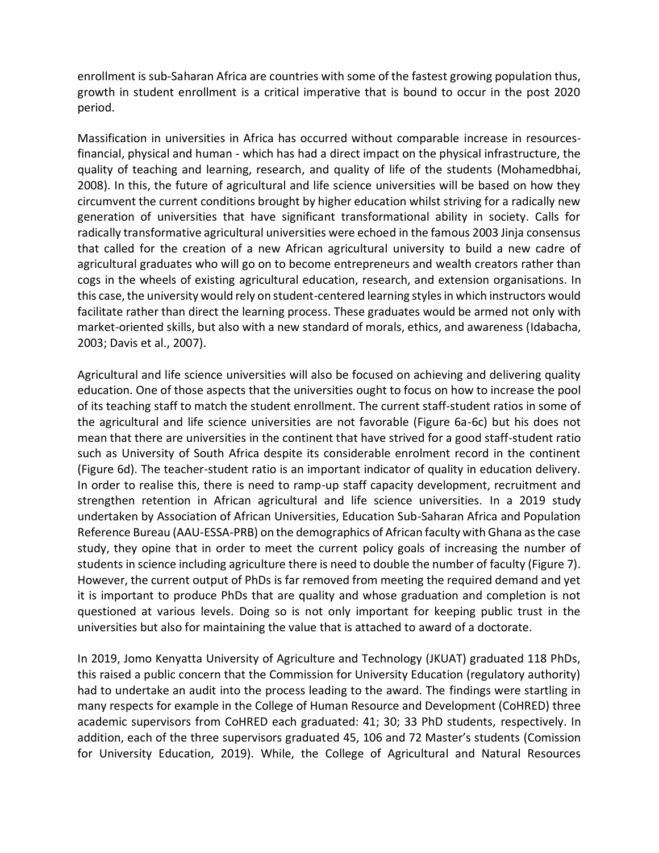enrollment is sub-Saharan Africa are countries with some of the fastest growing population thus, growth in student enrollment is a critical imperative that is bound to occur in the post 2020 period.

Massification in universities in Africa has occurred without comparable increase in resourcesfinancial, physical and human - which has had a direct impact on the physical infrastructure, the quality of teaching and learning, research, and quality of life of the students (Mohamedbhai, 2008). In this, the future of agricultural and life science universities will be based on how they circumvent the current conditions brought by higher education whilst striving for a radically new generation of universities that have significant transformational ability in society. Calls for radically transformative agricultural universities were echoed in the famous 2003 Jinja consensus that called for the creation of a new African agricultural university to build a new cadre of agricultural graduates who will go on to become entrepreneurs and wealth creators rather than cogs in the wheels of existing agricultural education, research, and extension organisations. In this case, the university would rely on student-centered learning styles in which instructors would facilitate rather than direct the learning process. These graduates would be armed not only with market-oriented skills, but also with a new standard of morals, ethics, and awareness (Idabacha, 2003; Davis et al., 2007).

Agricultural and life science universities will also be focused on achieving and delivering quality education. One of those aspects that the universities ought to focus on how to increase the pool of its teaching staff to match the student enrollment. The current staff-student ratios in some of the agricultural and life science universities are not favorable (Figure 6a-6c) but his does not mean that there are universities in the continent that have strived for a good staff-student ratio such as University of South Africa despite its considerable enrolment record in the continent (Figure 6d). The teacher-student ratio is an important indicator of quality in education delivery. In order to realise this, there is need to ramp-up staff capacity development, recruitment and strengthen retention in African agricultural and life science universities. In a 2019 study undertaken by Association of African Universities, Education Sub-Saharan Africa and Population Reference Bureau (AAU-ESSA-PRB) on the demographics of African faculty with Ghana as the case study, they opine that in order to meet the current policy goals of increasing the number of students in science including agriculture there is need to double the number of faculty (Figure 7). However, the current output of PhDs is far removed from meeting the required demand and yet it is important to produce PhDs that are quality and whose graduation and completion is not questioned at various levels. Doing so is not only important for keeping public trust in the universities but also for maintaining the value that is attached to award of a doctorate.

In 2019, Jomo Kenyatta University of Agriculture and Technology (JKUAT) graduated 118 PhDs, this raised a public concern that the Commission for University Education (regulatory authority) had to undertake an audit into the process leading to the award. The findings were startling in many respects for example in the College of Human Resource and Development (CoHRED) three academic supervisors from CoHRED each graduated: 41; 30; 33 PhD students, respectively. In addition, each of the three supervisors graduated 45, 106 and 72 Master's students (Comission for University Education, 2019). While, the College of Agricultural and Natural Resources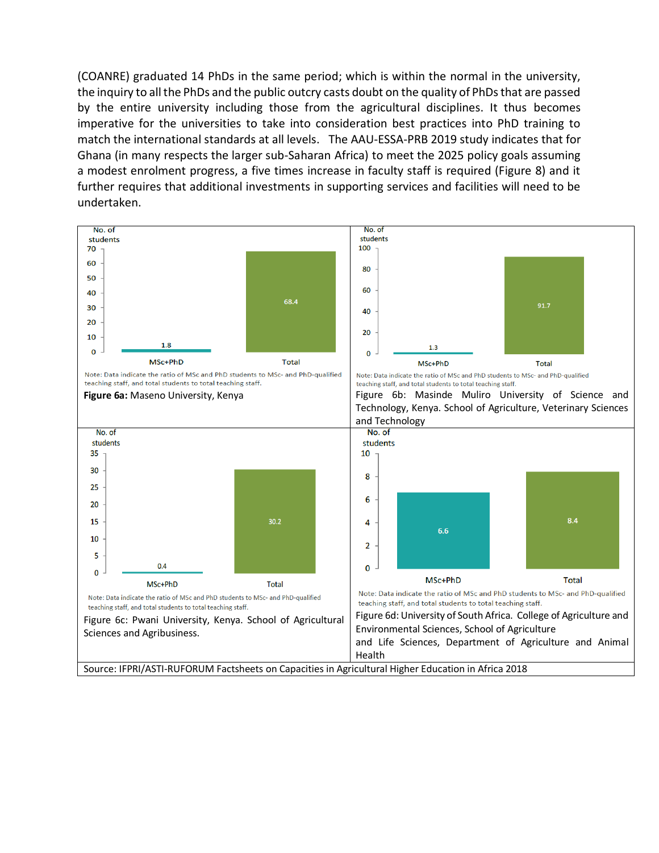(COANRE) graduated 14 PhDs in the same period; which is within the normal in the university, the inquiry to all the PhDs and the public outcry casts doubt on the quality of PhDs that are passed by the entire university including those from the agricultural disciplines. It thus becomes imperative for the universities to take into consideration best practices into PhD training to match the international standards at all levels. The AAU-ESSA-PRB 2019 study indicates that for Ghana (in many respects the larger sub-Saharan Africa) to meet the 2025 policy goals assuming a modest enrolment progress, a five times increase in faculty staff is required (Figure 8) and it further requires that additional investments in supporting services and facilities will need to be undertaken.

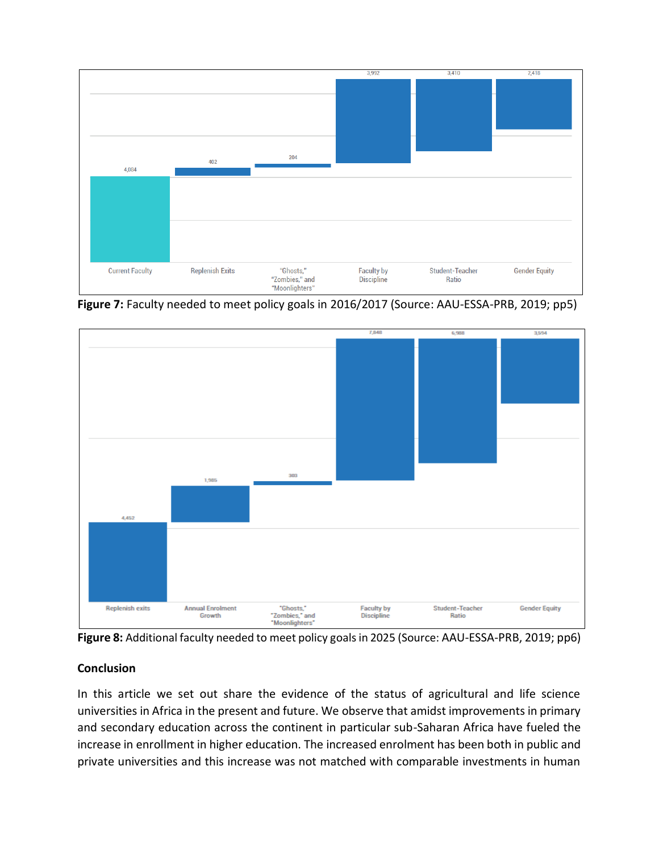

**Figure 7:** Faculty needed to meet policy goals in 2016/2017 (Source: AAU-ESSA-PRB, 2019; pp5)



**Figure 8:** Additional faculty needed to meet policy goals in 2025 (Source: AAU-ESSA-PRB, 2019; pp6)

# **Conclusion**

In this article we set out share the evidence of the status of agricultural and life science universities in Africa in the present and future. We observe that amidst improvements in primary and secondary education across the continent in particular sub-Saharan Africa have fueled the increase in enrollment in higher education. The increased enrolment has been both in public and private universities and this increase was not matched with comparable investments in human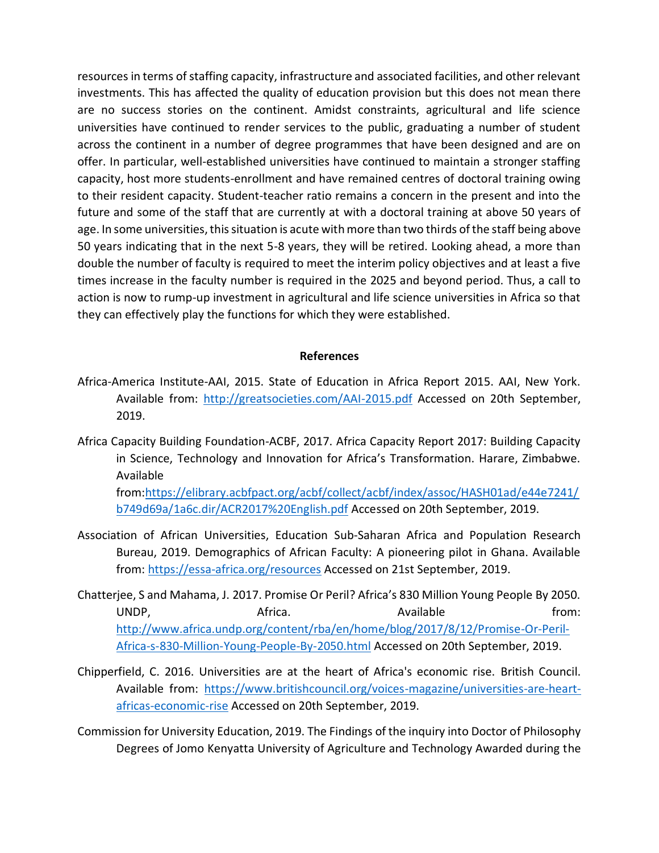resources in terms of staffing capacity, infrastructure and associated facilities, and other relevant investments. This has affected the quality of education provision but this does not mean there are no success stories on the continent. Amidst constraints, agricultural and life science universities have continued to render services to the public, graduating a number of student across the continent in a number of degree programmes that have been designed and are on offer. In particular, well-established universities have continued to maintain a stronger staffing capacity, host more students-enrollment and have remained centres of doctoral training owing to their resident capacity. Student-teacher ratio remains a concern in the present and into the future and some of the staff that are currently at with a doctoral training at above 50 years of age. In some universities, this situation is acute with more than two thirds of the staff being above 50 years indicating that in the next 5-8 years, they will be retired. Looking ahead, a more than double the number of faculty is required to meet the interim policy objectives and at least a five times increase in the faculty number is required in the 2025 and beyond period. Thus, a call to action is now to rump-up investment in agricultural and life science universities in Africa so that they can effectively play the functions for which they were established.

### **References**

- Africa-America Institute-AAI, 2015. State of Education in Africa Report 2015. AAI, New York. Available from: <http://greatsocieties.com/AAI-2015.pdf> Accessed on 20th September, 2019.
- Africa Capacity Building Foundation-ACBF, 2017. Africa Capacity Report 2017: Building Capacity in Science, Technology and Innovation for Africa's Transformation. Harare, Zimbabwe. Available

from[:https://elibrary.acbfpact.org/acbf/collect/acbf/index/assoc/HASH01ad/e44e7241/](https://elibrary.acbfpact.org/acbf/collect/acbf/index/assoc/HASH01ad/e44e7241/b749d69a/1a6c.dir/ACR2017%20English.pdf) [b749d69a/1a6c.dir/ACR2017%20English.pdf](https://elibrary.acbfpact.org/acbf/collect/acbf/index/assoc/HASH01ad/e44e7241/b749d69a/1a6c.dir/ACR2017%20English.pdf) Accessed on 20th September, 2019.

- Association of African Universities, Education Sub-Saharan Africa and Population Research Bureau, 2019. Demographics of African Faculty: A pioneering pilot in Ghana. Available from:<https://essa-africa.org/resources> Accessed on 21st September, 2019.
- Chatterjee, S and Mahama, J. 2017. Promise Or Peril? Africa's 830 Million Young People By 2050. UNDP, Africa. Africa. Available the strom: [http://www.africa.undp.org/content/rba/en/home/blog/2017/8/12/Promise-Or-Peril-](http://www.africa.undp.org/content/rba/en/home/blog/2017/8/12/Promise-Or-Peril-Africa-s-830-Million-Young-People-By-2050.html)[Africa-s-830-Million-Young-People-By-2050.html](http://www.africa.undp.org/content/rba/en/home/blog/2017/8/12/Promise-Or-Peril-Africa-s-830-Million-Young-People-By-2050.html) Accessed on 20th September, 2019.
- Chipperfield, C. 2016. Universities are at the heart of Africa's economic rise. British Council. Available from: [https://www.britishcouncil.org/voices-magazine/universities-are-heart](https://www.britishcouncil.org/voices-magazine/universities-are-heart-africas-economic-rise)[africas-economic-rise](https://www.britishcouncil.org/voices-magazine/universities-are-heart-africas-economic-rise) Accessed on 20th September, 2019.
- Commission for University Education, 2019. The Findings of the inquiry into Doctor of Philosophy Degrees of Jomo Kenyatta University of Agriculture and Technology Awarded during the